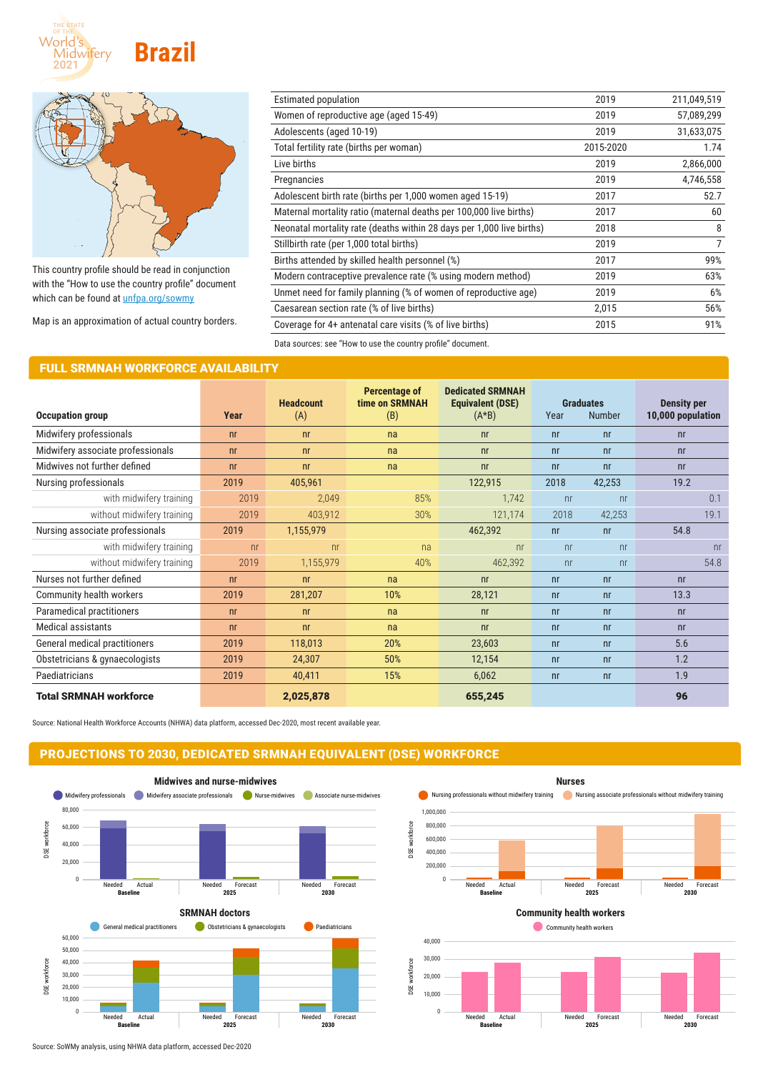



This country profile should be read in conjunction with the "How to use the country profile" document which can be found at *[unfpa.org/sowmy](http://unfpa.org/sowmy)* 

Map is an approximation of actual country borders.

| Estimated population                                                  | 2019      | 211,049,519    |
|-----------------------------------------------------------------------|-----------|----------------|
| Women of reproductive age (aged 15-49)                                | 2019      | 57,089,299     |
| Adolescents (aged 10-19)                                              | 2019      | 31,633,075     |
| Total fertility rate (births per woman)                               | 2015-2020 | 1.74           |
| Live births                                                           | 2019      | 2,866,000      |
| Pregnancies                                                           | 2019      | 4,746,558      |
| Adolescent birth rate (births per 1,000 women aged 15-19)             | 2017      | 52.7           |
| Maternal mortality ratio (maternal deaths per 100,000 live births)    | 2017      | 60             |
| Neonatal mortality rate (deaths within 28 days per 1,000 live births) | 2018      | 8              |
| Stillbirth rate (per 1,000 total births)                              | 2019      | $\overline{7}$ |
| Births attended by skilled health personnel (%)                       | 2017      | 99%            |
| Modern contraceptive prevalence rate (% using modern method)          | 2019      | 63%            |
| Unmet need for family planning (% of women of reproductive age)       | 2019      | 6%             |
| Caesarean section rate (% of live births)                             | 2,015     | 56%            |
| Coverage for 4+ antenatal care visits (% of live births)              | 2015      | 91%            |
|                                                                       |           |                |

Data sources: see "How to use the country profile" document.

### FULL SRMNAH WORKFORCE AVAILABILITY

|                                   |                | <b>Headcount</b> | <b>Percentage of</b><br>time on SRMNAH | <b>Dedicated SRMNAH</b><br><b>Equivalent (DSE)</b> |                | <b>Graduates</b> | <b>Density per</b> |
|-----------------------------------|----------------|------------------|----------------------------------------|----------------------------------------------------|----------------|------------------|--------------------|
| <b>Occupation group</b>           | Year           | (A)              | (B)                                    | $(A*B)$                                            | Year           | <b>Number</b>    | 10,000 population  |
| Midwifery professionals           | n <sub>r</sub> | n <sub>r</sub>   | na                                     | n <sub>r</sub>                                     | n <sub>r</sub> | n <sub>r</sub>   | n <sub>r</sub>     |
| Midwifery associate professionals | n <sub>r</sub> | n <sub>r</sub>   | na                                     | n <sub>r</sub>                                     | n <sub>r</sub> | n <sub>r</sub>   | n <sub>r</sub>     |
| Midwives not further defined      | n <sub>r</sub> | n <sub>r</sub>   | na                                     | n <sub>r</sub>                                     | n <sub>r</sub> | n <sub>r</sub>   | n <sub>r</sub>     |
| Nursing professionals             | 2019           | 405,961          |                                        | 122,915                                            | 2018           | 42,253           | 19.2               |
| with midwifery training           | 2019           | 2,049            | 85%                                    | 1,742                                              | n <sub>r</sub> | n <sub>r</sub>   | 0.1                |
| without midwifery training        | 2019           | 403,912          | 30%                                    | 121,174                                            | 2018           | 42,253           | 19.1               |
| Nursing associate professionals   | 2019           | 1,155,979        |                                        | 462,392                                            | n <sub>r</sub> | n <sub>r</sub>   | 54.8               |
| with midwifery training           | n <sub>r</sub> | n <sub>r</sub>   | na                                     | n <sub>r</sub>                                     | n <sub>r</sub> | n <sub>r</sub>   | n <sub>r</sub>     |
| without midwifery training        | 2019           | 1,155,979        | 40%                                    | 462,392                                            | n <sub>r</sub> | n <sub>r</sub>   | 54.8               |
| Nurses not further defined        | n <sub>r</sub> | n <sub>r</sub>   | na                                     | n <sub>r</sub>                                     | n <sub>r</sub> | n <sub>r</sub>   | n <sub>r</sub>     |
| Community health workers          | 2019           | 281,207          | 10%                                    | 28,121                                             | n <sub>r</sub> | n <sub>r</sub>   | 13.3               |
| Paramedical practitioners         | n <sub>r</sub> | n <sub>r</sub>   | na                                     | n <sub>r</sub>                                     | n <sub>r</sub> | n <sub>r</sub>   | n <sub>r</sub>     |
| <b>Medical assistants</b>         | n <sub>r</sub> | n <sub>r</sub>   | na                                     | n <sub>r</sub>                                     | n <sub>r</sub> | n <sub>r</sub>   | n <sub>r</sub>     |
| General medical practitioners     | 2019           | 118,013          | 20%                                    | 23,603                                             | n <sub>r</sub> | n <sub>r</sub>   | 5.6                |
| Obstetricians & gynaecologists    | 2019           | 24,307           | 50%                                    | 12,154                                             | n <sub>r</sub> | n <sub>r</sub>   | 1.2                |
| Paediatricians                    | 2019           | 40,411           | 15%                                    | 6,062                                              | n <sub>r</sub> | n <sub>r</sub>   | 1.9                |
| <b>Total SRMNAH workforce</b>     |                | 2,025,878        |                                        | 655,245                                            |                |                  | 96                 |

0 10,000 20,000

DSE workforce

Source: National Health Workforce Accounts (NHWA) data platform, accessed Dec-2020, most recent available year.

# PROJECTIONS TO 2030, DEDICATED SRMNAH EQUIVALENT (DSE) WORKFORCE





Needed

Needed Forecast **Baseline**

**2025** Forecast Needed

**2030**